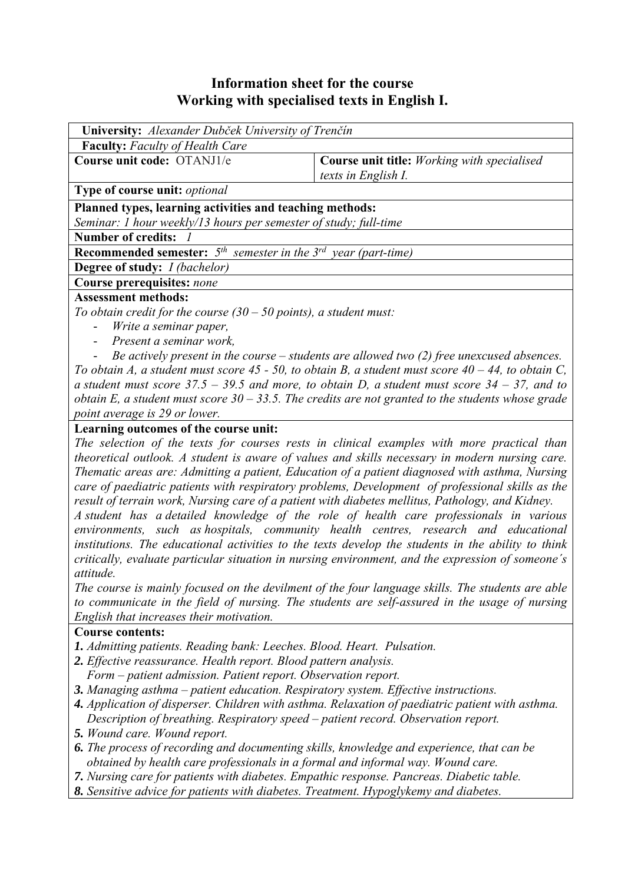# **Information sheet for the course Working with specialised texts in English I.**

| University: Alexander Dubček University of Trenčín                                                    |                                                                                                      |  |  |  |  |  |  |
|-------------------------------------------------------------------------------------------------------|------------------------------------------------------------------------------------------------------|--|--|--|--|--|--|
| <b>Faculty:</b> Faculty of Health Care                                                                |                                                                                                      |  |  |  |  |  |  |
| Course unit code: OTANJ1/e<br><b>Course unit title:</b> Working with specialised                      |                                                                                                      |  |  |  |  |  |  |
|                                                                                                       | texts in English I.                                                                                  |  |  |  |  |  |  |
| Type of course unit: optional                                                                         |                                                                                                      |  |  |  |  |  |  |
| Planned types, learning activities and teaching methods:                                              |                                                                                                      |  |  |  |  |  |  |
| Seminar: 1 hour weekly/13 hours per semester of study; full-time                                      |                                                                                                      |  |  |  |  |  |  |
| <b>Number of credits:</b>                                                                             |                                                                                                      |  |  |  |  |  |  |
| <b>Recommended semester:</b> $5th$ semester in the $3rd$ year (part-time)                             |                                                                                                      |  |  |  |  |  |  |
| <b>Degree of study:</b> <i>I (bachelor)</i>                                                           |                                                                                                      |  |  |  |  |  |  |
| Course prerequisites: none                                                                            |                                                                                                      |  |  |  |  |  |  |
| <b>Assessment methods:</b>                                                                            |                                                                                                      |  |  |  |  |  |  |
| To obtain credit for the course $(30 - 50$ points), a student must:                                   |                                                                                                      |  |  |  |  |  |  |
| Write a seminar paper,<br>$\overline{\phantom{0}}$                                                    |                                                                                                      |  |  |  |  |  |  |
| Present a seminar work,                                                                               |                                                                                                      |  |  |  |  |  |  |
|                                                                                                       | Be actively present in the course $-$ students are allowed two $(2)$ free unexcused absences.        |  |  |  |  |  |  |
| To obtain A, a student must score 45 - 50, to obtain B, a student must score $40 - 44$ , to obtain C, |                                                                                                      |  |  |  |  |  |  |
| a student must score $37.5 - 39.5$ and more, to obtain D, a student must score $34 - 37$ , and to     |                                                                                                      |  |  |  |  |  |  |
|                                                                                                       | obtain E, a student must score $30 - 33.5$ . The credits are not granted to the students whose grade |  |  |  |  |  |  |

*point average is 29 or lower.*

#### **Learning outcomes of the course unit:**

*The selection of the texts for courses rests in clinical examples with more practical than theoretical outlook. A student is aware of values and skills necessary in modern nursing care. Thematic areas are: Admitting a patient, Education of a patient diagnosed with asthma, Nursing care of paediatric patients with respiratory problems, Development of professional skills as the result of terrain work, Nursing care of a patient with diabetes mellitus, Pathology, and Kidney.* 

*A student has a detailed knowledge of the role of health care professionals in various environments, such as hospitals, community health centres, research and educational institutions. The educational activities to the texts develop the students in the ability to think critically, evaluate particular situation in nursing environment, and the expression of someone´s attitude.* 

*The course is mainly focused on the devilment of the four language skills. The students are able to communicate in the field of nursing. The students are self-assured in the usage of nursing English that increases their motivation.*

#### **Course contents:**

- *1. Admitting patients. Reading bank: Leeches. Blood. Heart. Pulsation.*
- *2. Effective reassurance. Health report. Blood pattern analysis.*
- *Form patient admission. Patient report. Observation report.*
- *3. Managing asthma patient education. Respiratory system. Effective instructions.*
- *4. Application of disperser. Children with asthma. Relaxation of paediatric patient with asthma. Description of breathing. Respiratory speed – patient record. Observation report.*
- *5. Wound care. Wound report.*
- *6. The process of recording and documenting skills, knowledge and experience, that can be obtained by health care professionals in a formal and informal way. Wound care.*
- *7. Nursing care for patients with diabetes. Empathic response. Pancreas. Diabetic table.*
- *8. Sensitive advice for patients with diabetes. Treatment. Hypoglykemy and diabetes.*